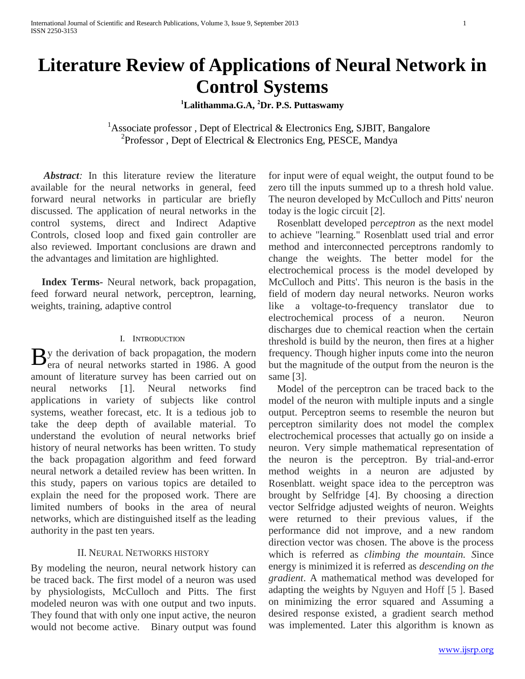# **Literature Review of Applications of Neural Network in Control Systems**

**<sup>1</sup>Lalithamma.G.A, <sup>2</sup>Dr. P.S. Puttaswamy**

<sup>1</sup>Associate professor, Dept of Electrical & Electronics Eng, SJBIT, Bangalore 2 <sup>2</sup>Professor, Dept of Electrical & Electronics Eng, PESCE, Mandya

*Abstract:* In this literature review the literature available for the neural networks in general, feed forward neural networks in particular are briefly discussed. The application of neural networks in the control systems, direct and Indirect Adaptive Controls, closed loop and fixed gain controller are also reviewed. Important conclusions are drawn and the advantages and limitation are highlighted.

**Index Terms-** Neural network, back propagation, feed forward neural network, perceptron, learning, weights, training, adaptive control

#### I. INTRODUCTION

y the derivation of back propagation, the modern  $\mathbf{B}$ y the derivation of back propagation, the modern era of neural networks started in 1986. A good amount of literature survey has been carried out on neural networks [1]. Neural networks find applications in variety of subjects like control systems, weather forecast, etc. It is a tedious job to take the deep depth of available material. To understand the evolution of neural networks brief history of neural networks has been written. To study the back propagation algorithm and feed forward neural network a detailed review has been written. In this study, papers on various topics are detailed to explain the need for the proposed work. There are limited numbers of books in the area of neural networks, which are distinguished itself as the leading authority in the past ten years.

#### II. NEURAL NETWORKS HISTORY

By modeling the neuron, neural network history can be traced back. The first model of a neuron was used by physiologists, McCulloch and Pitts. The first modeled neuron was with one output and two inputs. They found that with only one input active, the neuron would not become active. Binary output was found

for input were of equal weight, the output found to be zero till the inputs summed up to a thresh hold value. The neuron developed by McCulloch and Pitts' neuron today is the logic circuit [2].

Rosenblatt developed p*erceptron* as the next model to achieve "learning." Rosenblatt used trial and error method and interconnected perceptrons randomly to change the weights. The better model for the electrochemical process is the model developed by McCulloch and Pitts'. This neuron is the basis in the field of modern day neural networks. Neuron works like a voltage-to-frequency translator due to electrochemical process of a neuron. Neuron discharges due to chemical reaction when the certain threshold is build by the neuron, then fires at a higher frequency. Though higher inputs come into the neuron but the magnitude of the output from the neuron is the same [3].

Model of the perceptron can be traced back to the model of the neuron with multiple inputs and a single output. Perceptron seems to resemble the neuron but perceptron similarity does not model the complex electrochemical processes that actually go on inside a neuron. Very simple mathematical representation of the neuron is the perceptron. By trial-and-error method weights in a neuron are adjusted by Rosenblatt. weight space idea to the perceptron was brought by Selfridge [4]. By choosing a direction vector Selfridge adjusted weights of neuron. Weights were returned to their previous values, if the performance did not improve, and a new random direction vector was chosen. The above is the process which is referred as *climbing the mountain. S*ince energy is minimized it is referred as *descending on the gradient*. A mathematical method was developed for adapting the weights by Nguyen and Hoff [5 ]. Based on minimizing the error squared and Assuming a desired response existed, a gradient search method was implemented. Later this algorithm is known as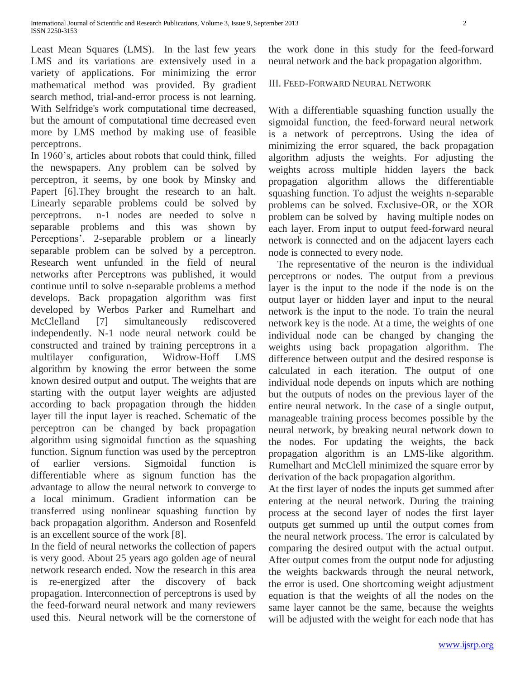Least Mean Squares (LMS). In the last few years LMS and its variations are extensively used in a variety of applications. For minimizing the error mathematical method was provided. By gradient search method, trial-and-error process is not learning. With Selfridge's work computational time decreased, but the amount of computational time decreased even more by LMS method by making use of feasible perceptrons.

In 1960's, articles about robots that could think, filled the newspapers. Any problem can be solved by perceptron, it seems, by one book by Minsky and Papert [6].They brought the research to an halt. Linearly separable problems could be solved by perceptrons. n-1 nodes are needed to solve n separable problems and this was shown by Perceptions'. 2-separable problem or a linearly separable problem can be solved by a perceptron. Research went unfunded in the field of neural networks after Perceptrons was published, it would continue until to solve n-separable problems a method develops. Back propagation algorithm was first developed by Werbos Parker and Rumelhart and McClelland [7] simultaneously rediscovered independently. N-1 node neural network could be constructed and trained by training perceptrons in a multilayer configuration, Widrow-Hoff LMS algorithm by knowing the error between the some known desired output and output. The weights that are starting with the output layer weights are adjusted according to back propagation through the hidden layer till the input layer is reached. Schematic of the perceptron can be changed by back propagation algorithm using sigmoidal function as the squashing function. Signum function was used by the perceptron of earlier versions. Sigmoidal function is differentiable where as signum function has the advantage to allow the neural network to converge to a local minimum. Gradient information can be transferred using nonlinear squashing function by back propagation algorithm. Anderson and Rosenfeld is an excellent source of the work [8].

In the field of neural networks the collection of papers is very good. About 25 years ago golden age of neural network research ended. Now the research in this area is re-energized after the discovery of back propagation. Interconnection of perceptrons is used by the feed-forward neural network and many reviewers used this. Neural network will be the cornerstone of

the work done in this study for the feed-forward neural network and the back propagation algorithm.

## III. FEED-FORWARD NEURAL NETWORK

With a differentiable squashing function usually the sigmoidal function, the feed-forward neural network is a network of perceptrons. Using the idea of minimizing the error squared, the back propagation algorithm adjusts the weights. For adjusting the weights across multiple hidden layers the back propagation algorithm allows the differentiable squashing function. To adjust the weights n-separable problems can be solved. Exclusive-OR, or the XOR problem can be solved by having multiple nodes on each layer. From input to output feed-forward neural network is connected and on the adjacent layers each node is connected to every node.

The representative of the neuron is the individual perceptrons or nodes. The output from a previous layer is the input to the node if the node is on the output layer or hidden layer and input to the neural network is the input to the node. To train the neural network key is the node. At a time, the weights of one individual node can be changed by changing the weights using back propagation algorithm. The difference between output and the desired response is calculated in each iteration. The output of one individual node depends on inputs which are nothing but the outputs of nodes on the previous layer of the entire neural network. In the case of a single output, manageable training process becomes possible by the neural network, by breaking neural network down to the nodes. For updating the weights, the back propagation algorithm is an LMS-like algorithm. Rumelhart and McClell minimized the square error by derivation of the back propagation algorithm.

At the first layer of nodes the inputs get summed after entering at the neural network. During the training process at the second layer of nodes the first layer outputs get summed up until the output comes from the neural network process. The error is calculated by comparing the desired output with the actual output. After output comes from the output node for adjusting the weights backwards through the neural network, the error is used. One shortcoming weight adjustment equation is that the weights of all the nodes on the same layer cannot be the same, because the weights will be adjusted with the weight for each node that has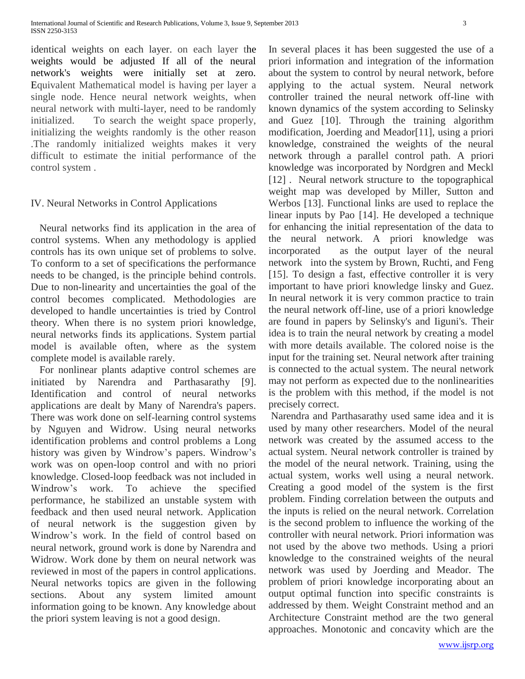International Journal of Scientific and Research Publications, Volume 3, Issue 9, September 2013 3 ISSN 2250-3153

identical weights on each layer. on each layer the weights would be adjusted If all of the neural network's weights were initially set at zero. Equivalent Mathematical model is having per layer a single node. Hence neural network weights, when neural network with multi-layer, need to be randomly initialized. To search the weight space properly, initializing the weights randomly is the other reason .The randomly initialized weights makes it very difficult to estimate the initial performance of the control system .

#### IV. Neural Networks in Control Applications

Neural networks find its application in the area of control systems. When any methodology is applied controls has its own unique set of problems to solve. To conform to a set of specifications the performance needs to be changed, is the principle behind controls. Due to non-linearity and uncertainties the goal of the control becomes complicated. Methodologies are developed to handle uncertainties is tried by Control theory. When there is no system priori knowledge, neural networks finds its applications. System partial model is available often, where as the system complete model is available rarely.

For nonlinear plants adaptive control schemes are initiated by Narendra and Parthasarathy [9]. Identification and control of neural networks applications are dealt by Many of Narendra's papers. There was work done on self-learning control systems by Nguyen and Widrow. Using neural networks identification problems and control problems a Long history was given by Windrow's papers. Windrow's work was on open-loop control and with no priori knowledge. Closed-loop feedback was not included in Windrow's work. To achieve the specified performance, he stabilized an unstable system with feedback and then used neural network. Application of neural network is the suggestion given by Windrow's work. In the field of control based on neural network, ground work is done by Narendra and Widrow. Work done by them on neural network was reviewed in most of the papers in control applications. Neural networks topics are given in the following sections. About any system limited amount information going to be known. Any knowledge about the priori system leaving is not a good design.

In several places it has been suggested the use of a priori information and integration of the information about the system to control by neural network, before applying to the actual system. Neural network controller trained the neural network off-line with known dynamics of the system according to Selinsky and Guez [10]. Through the training algorithm modification, Joerding and Meador[11], using a priori knowledge, constrained the weights of the neural network through a parallel control path. A priori knowledge was incorporated by Nordgren and Meckl [12]. Neural network structure to the topographical weight map was developed by Miller, Sutton and Werbos [13]. Functional links are used to replace the linear inputs by Pao [14]. He developed a technique for enhancing the initial representation of the data to the neural network. A priori knowledge was incorporated as the output layer of the neural network into the system by Brown, Ruchti, and Feng [15]. To design a fast, effective controller it is very important to have priori knowledge linsky and Guez. In neural network it is very common practice to train the neural network off-line, use of a priori knowledge are found in papers by Selinsky's and Iiguni's. Their idea is to train the neural network by creating a model with more details available. The colored noise is the input for the training set. Neural network after training is connected to the actual system. The neural network may not perform as expected due to the nonlinearities is the problem with this method, if the model is not precisely correct.

Narendra and Parthasarathy used same idea and it is used by many other researchers. Model of the neural network was created by the assumed access to the actual system. Neural network controller is trained by the model of the neural network. Training, using the actual system, works well using a neural network. Creating a good model of the system is the first problem. Finding correlation between the outputs and the inputs is relied on the neural network. Correlation is the second problem to influence the working of the controller with neural network. Priori information was not used by the above two methods. Using a priori knowledge to the constrained weights of the neural network was used by Joerding and Meador. The problem of priori knowledge incorporating about an output optimal function into specific constraints is addressed by them. Weight Constraint method and an Architecture Constraint method are the two general approaches. Monotonic and concavity which are the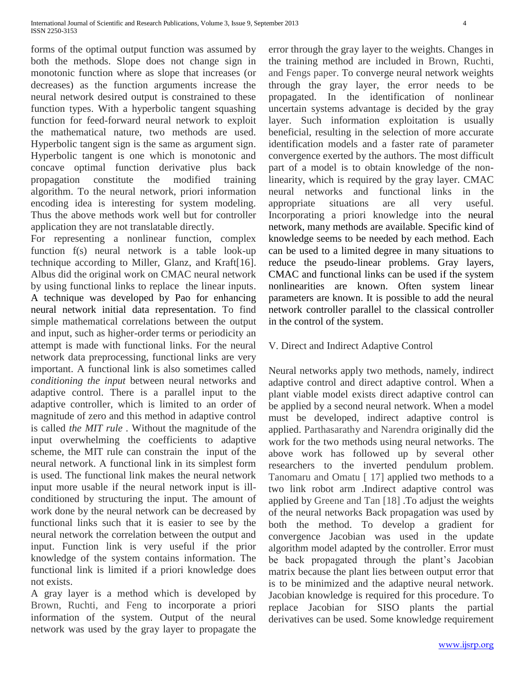forms of the optimal output function was assumed by both the methods. Slope does not change sign in monotonic function where as slope that increases (or decreases) as the function arguments increase the neural network desired output is constrained to these function types. With a hyperbolic tangent squashing function for feed-forward neural network to exploit the mathematical nature, two methods are used. Hyperbolic tangent sign is the same as argument sign. Hyperbolic tangent is one which is monotonic and concave optimal function derivative plus back propagation constitute the modified training algorithm. To the neural network, priori information encoding idea is interesting for system modeling. Thus the above methods work well but for controller application they are not translatable directly.

For representing a nonlinear function, complex function f(s) neural network is a table look-up technique according to Miller, Glanz, and Kraft[16]. Albus did the original work on CMAC neural network by using functional links to replace the linear inputs. A technique was developed by Pao for enhancing neural network initial data representation. To find simple mathematical correlations between the output and input, such as higher-order terms or periodicity an attempt is made with functional links. For the neural network data preprocessing, functional links are very important. A functional link is also sometimes called *conditioning the input* between neural networks and adaptive control. There is a parallel input to the adaptive controller, which is limited to an order of magnitude of zero and this method in adaptive control is called *the MIT rule .* Without the magnitude of the input overwhelming the coefficients to adaptive scheme, the MIT rule can constrain the input of the neural network. A functional link in its simplest form is used. The functional link makes the neural network input more usable if the neural network input is illconditioned by structuring the input. The amount of work done by the neural network can be decreased by functional links such that it is easier to see by the neural network the correlation between the output and input. Function link is very useful if the prior knowledge of the system contains information. The functional link is limited if a priori knowledge does not exists.

A gray layer is a method which is developed by Brown, Ruchti, and Feng to incorporate a priori information of the system. Output of the neural network was used by the gray layer to propagate the error through the gray layer to the weights. Changes in the training method are included in Brown, Ruchti, and Fengs paper. To converge neural network weights through the gray layer, the error needs to be propagated. In the identification of nonlinear uncertain systems advantage is decided by the gray layer. Such information exploitation is usually beneficial, resulting in the selection of more accurate identification models and a faster rate of parameter convergence exerted by the authors. The most difficult part of a model is to obtain knowledge of the nonlinearity, which is required by the gray layer. CMAC neural networks and functional links in the appropriate situations are all very useful. Incorporating a priori knowledge into the neural network, many methods are available. Specific kind of knowledge seems to be needed by each method. Each can be used to a limited degree in many situations to reduce the pseudo-linear problems. Gray layers, CMAC and functional links can be used if the system nonlinearities are known. Often system linear parameters are known. It is possible to add the neural network controller parallel to the classical controller in the control of the system.

# V. Direct and Indirect Adaptive Control

Neural networks apply two methods, namely, indirect adaptive control and direct adaptive control. When a plant viable model exists direct adaptive control can be applied by a second neural network. When a model must be developed, indirect adaptive control is applied. Parthasarathy and Narendra originally did the work for the two methods using neural networks. The above work has followed up by several other researchers to the inverted pendulum problem. Tanomaru and Omatu [ 17] applied two methods to a two link robot arm .Indirect adaptive control was applied by Greene and Tan [18] .To adjust the weights of the neural networks Back propagation was used by both the method. To develop a gradient for convergence Jacobian was used in the update algorithm model adapted by the controller. Error must be back propagated through the plant's Jacobian matrix because the plant lies between output error that is to be minimized and the adaptive neural network. Jacobian knowledge is required for this procedure. To replace Jacobian for SISO plants the partial derivatives can be used. Some knowledge requirement

www.ijsrp.org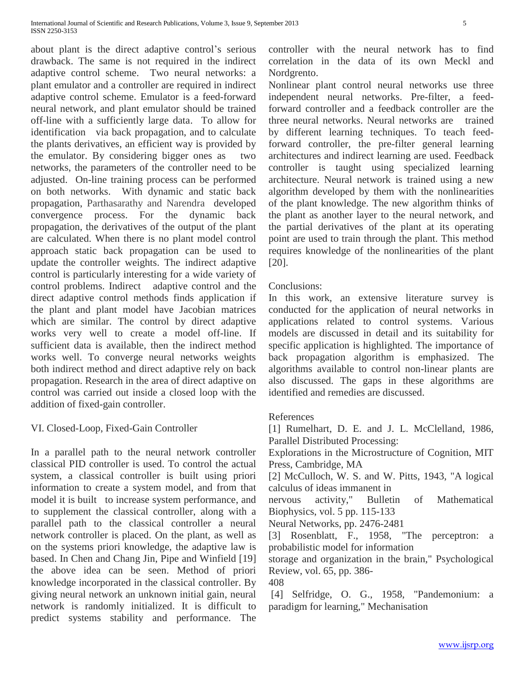about plant is the direct adaptive control's serious drawback. The same is not required in the indirect adaptive control scheme. Two neural networks: a plant emulator and a controller are required in indirect adaptive control scheme. Emulator is a feed-forward neural network, and plant emulator should be trained off-line with a sufficiently large data. To allow for identification via back propagation, and to calculate the plants derivatives, an efficient way is provided by the emulator. By considering bigger ones as two networks, the parameters of the controller need to be adjusted. On-line training process can be performed on both networks. With dynamic and static back propagation, Parthasarathy and Narendra developed convergence process. For the dynamic back propagation, the derivatives of the output of the plant are calculated. When there is no plant model control approach static back propagation can be used to update the controller weights. The indirect adaptive control is particularly interesting for a wide variety of control problems. Indirect adaptive control and the direct adaptive control methods finds application if the plant and plant model have Jacobian matrices which are similar. The control by direct adaptive works very well to create a model off-line. If sufficient data is available, then the indirect method works well. To converge neural networks weights both indirect method and direct adaptive rely on back propagation. Research in the area of direct adaptive on control was carried out inside a closed loop with the addition of fixed-gain controller.

# VI. Closed-Loop, Fixed-Gain Controller

In a parallel path to the neural network controller classical PID controller is used. To control the actual system, a classical controller is built using priori information to create a system model, and from that model it is built to increase system performance, and to supplement the classical controller, along with a parallel path to the classical controller a neural network controller is placed. On the plant, as well as on the systems priori knowledge, the adaptive law is based. In Chen and Chang Jin, Pipe and Winfield [19] the above idea can be seen. Method of priori knowledge incorporated in the classical controller. By giving neural network an unknown initial gain, neural network is randomly initialized. It is difficult to predict systems stability and performance. The controller with the neural network has to find correlation in the data of its own Meckl and Nordgrento.

Nonlinear plant control neural networks use three independent neural networks. Pre-filter, a feedforward controller and a feedback controller are the three neural networks. Neural networks are trained by different learning techniques. To teach feedforward controller, the pre-filter general learning architectures and indirect learning are used. Feedback controller is taught using specialized learning architecture. Neural network is trained using a new algorithm developed by them with the nonlinearities of the plant knowledge. The new algorithm thinks of the plant as another layer to the neural network, and the partial derivatives of the plant at its operating point are used to train through the plant. This method requires knowledge of the nonlinearities of the plant [20].

### Conclusions:

In this work, an extensive literature survey is conducted for the application of neural networks in applications related to control systems. Various models are discussed in detail and its suitability for specific application is highlighted. The importance of back propagation algorithm is emphasized. The algorithms available to control non-linear plants are also discussed. The gaps in these algorithms are identified and remedies are discussed.

# References

[1] Rumelhart, D. E. and J. L. McClelland, 1986, Parallel Distributed Processing:

Explorations in the Microstructure of Cognition, MIT Press, Cambridge, MA

[2] McCulloch, W. S. and W. Pitts, 1943, "A logical calculus of ideas immanent in

nervous activity," Bulletin of Mathematical Biophysics, vol. 5 pp. 115-133

Neural Networks, pp. 2476-2481

[3] Rosenblatt, F., 1958, "The perceptron: a probabilistic model for information

storage and organization in the brain," Psychological Review, vol. 65, pp. 386-

408

[4] Selfridge, O. G., 1958, "Pandemonium: a paradigm for learning," Mechanisation